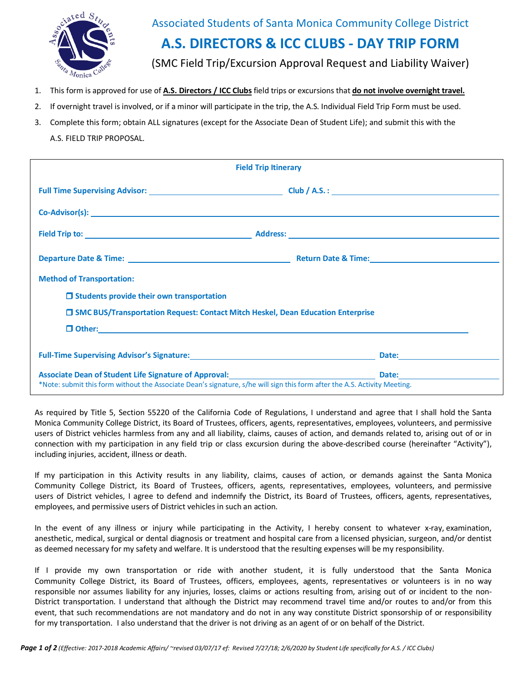

## Associated Students of Santa Monica Community College District **A.S. DIRECTORS & ICC CLUBS - DAY TRIP FORM** (SMC Field Trip/Excursion Approval Request and Liability Waiver)

- 1. This form is approved for use of **A.S. Directors / ICC Clubs** field trips or excursions that **do not involve overnight travel.**
- 2. If overnight travel is involved, or if a minor will participate in the trip, the A.S. Individual Field Trip Form must be used.
- 3. Complete this form; obtain ALL signatures (except for the Associate Dean of Student Life); and submit this with the A.S. FIELD TRIP PROPOSAL.

| <b>Field Trip Itinerary</b>                                                                                                                                                                                                                                                                                                                                       |  |  |
|-------------------------------------------------------------------------------------------------------------------------------------------------------------------------------------------------------------------------------------------------------------------------------------------------------------------------------------------------------------------|--|--|
|                                                                                                                                                                                                                                                                                                                                                                   |  |  |
|                                                                                                                                                                                                                                                                                                                                                                   |  |  |
|                                                                                                                                                                                                                                                                                                                                                                   |  |  |
|                                                                                                                                                                                                                                                                                                                                                                   |  |  |
| <b>Method of Transportation:</b>                                                                                                                                                                                                                                                                                                                                  |  |  |
| $\Box$ Students provide their own transportation                                                                                                                                                                                                                                                                                                                  |  |  |
| □ SMC BUS/Transportation Request: Contact Mitch Heskel, Dean Education Enterprise                                                                                                                                                                                                                                                                                 |  |  |
|                                                                                                                                                                                                                                                                                                                                                                   |  |  |
| Full-Time Supervising Advisor's Signature: Maria Communication and Date: Maria Communication and Date:                                                                                                                                                                                                                                                            |  |  |
| Associate Dean of Student Life Signature of Approval: <b>All Accord Contract Contract Contract Contract Contract Contract Contract Contract Contract Contract Contract Contract Contract Contract Contract Contract Contract Con</b><br>*Note: submit this form without the Associate Dean's signature, s/he will sign this form after the A.S. Activity Meeting. |  |  |

As required by Title 5, Section 55220 of the California Code of Regulations, I understand and agree that I shall hold the Santa Monica Community College District, its Board of Trustees, officers, agents, representatives, employees, volunteers, and permissive users of District vehicles harmless from any and all liability, claims, causes of action, and demands related to, arising out of or in connection with my participation in any field trip or class excursion during the above-described course (hereinafter "Activity"), including injuries, accident, illness or death.

If my participation in this Activity results in any liability, claims, causes of action, or demands against the Santa Monica Community College District, its Board of Trustees, officers, agents, representatives, employees, volunteers, and permissive users of District vehicles, I agree to defend and indemnify the District, its Board of Trustees, officers, agents, representatives, employees, and permissive users of District vehicles in such an action.

In the event of any illness or injury while participating in the Activity, I hereby consent to whatever x-ray, examination, anesthetic, medical, surgical or dental diagnosis or treatment and hospital care from a licensed physician, surgeon, and/or dentist as deemed necessary for my safety and welfare. It is understood that the resulting expenses will be my responsibility.

If I provide my own transportation or ride with another student, it is fully understood that the Santa Monica Community College District, its Board of Trustees, officers, employees, agents, representatives or volunteers is in no way responsible nor assumes liability for any injuries, losses, claims or actions resulting from, arising out of or incident to the non-District transportation. I understand that although the District may recommend travel time and/or routes to and/or from this event, that such recommendations are not mandatory and do not in any way constitute District sponsorship of or responsibility for my transportation. I also understand that the driver is not driving as an agent of or on behalf of the District.